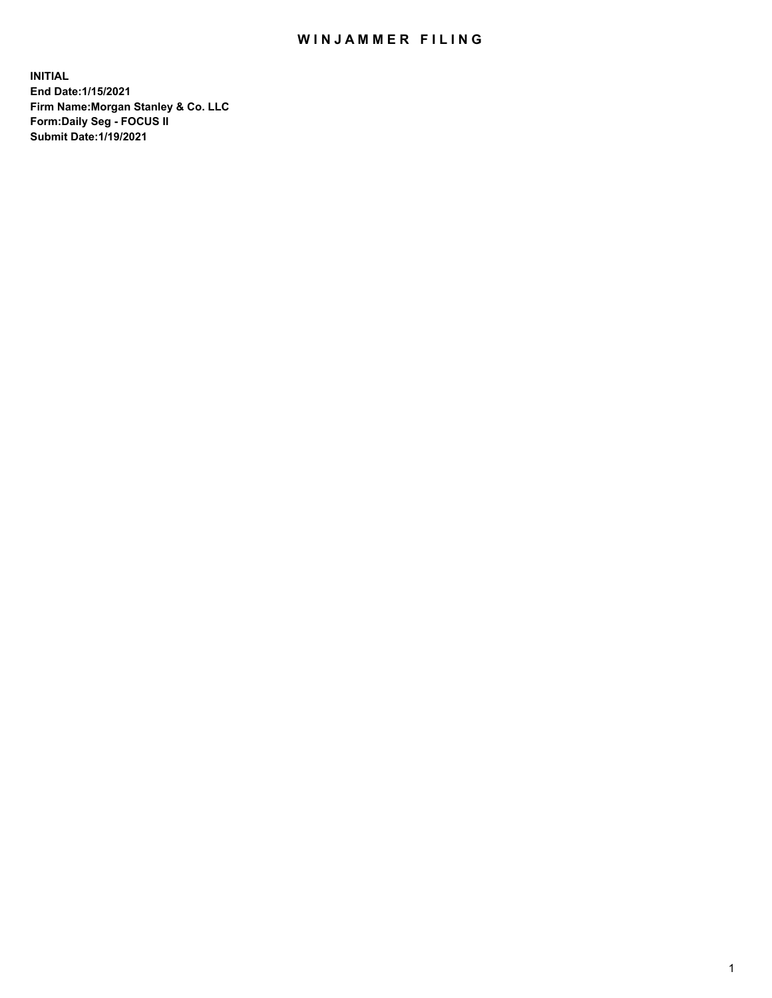## WIN JAMMER FILING

**INITIAL End Date:1/15/2021 Firm Name:Morgan Stanley & Co. LLC Form:Daily Seg - FOCUS II Submit Date:1/19/2021**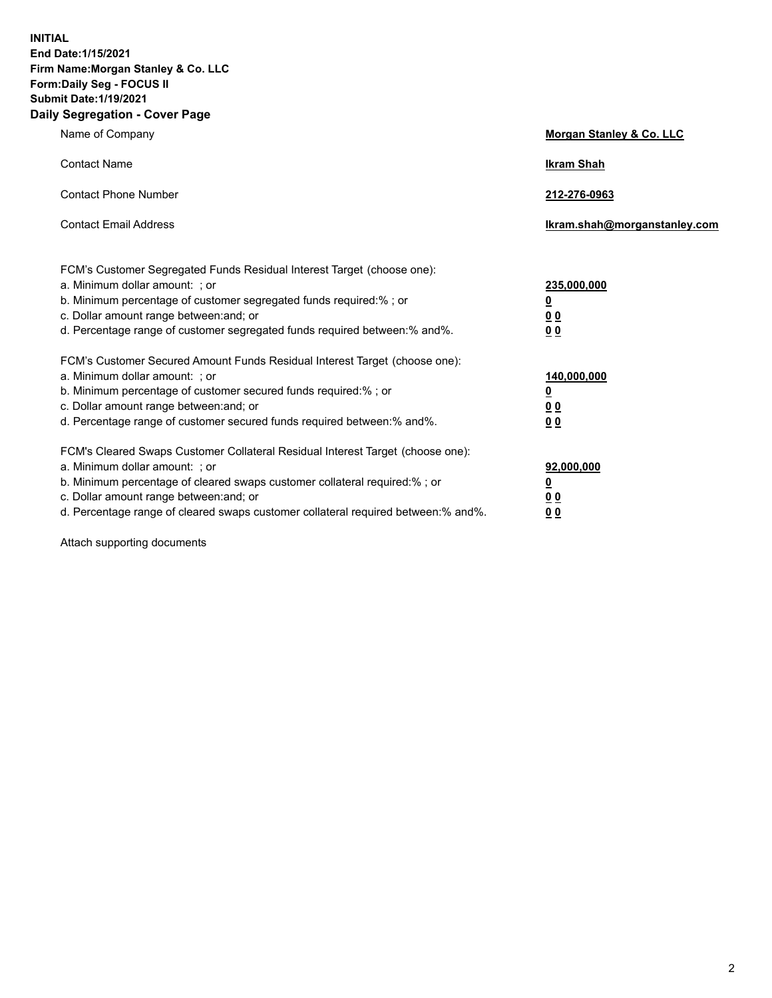**INITIAL End Date:1/15/2021 Firm Name:Morgan Stanley & Co. LLC Form:Daily Seg - FOCUS II Submit Date:1/19/2021 Daily Segregation - Cover Page**

| Name of Company                                                                                                                                                                                                                                                                                                                | <b>Morgan Stanley &amp; Co. LLC</b>                    |
|--------------------------------------------------------------------------------------------------------------------------------------------------------------------------------------------------------------------------------------------------------------------------------------------------------------------------------|--------------------------------------------------------|
| <b>Contact Name</b>                                                                                                                                                                                                                                                                                                            | <b>Ikram Shah</b>                                      |
| <b>Contact Phone Number</b>                                                                                                                                                                                                                                                                                                    | 212-276-0963                                           |
| <b>Contact Email Address</b>                                                                                                                                                                                                                                                                                                   | Ikram.shah@morganstanley.com                           |
| FCM's Customer Segregated Funds Residual Interest Target (choose one):<br>a. Minimum dollar amount: ; or<br>b. Minimum percentage of customer segregated funds required:% ; or<br>c. Dollar amount range between: and; or<br>d. Percentage range of customer segregated funds required between:% and%.                         | 235,000,000<br><u>0</u><br>0 Q<br>0 Q                  |
| FCM's Customer Secured Amount Funds Residual Interest Target (choose one):<br>a. Minimum dollar amount: ; or<br>b. Minimum percentage of customer secured funds required:% ; or<br>c. Dollar amount range between: and; or<br>d. Percentage range of customer secured funds required between: % and %.                         | 140,000,000<br><u>0</u><br><u>00</u><br>0 <sub>0</sub> |
| FCM's Cleared Swaps Customer Collateral Residual Interest Target (choose one):<br>a. Minimum dollar amount: ; or<br>b. Minimum percentage of cleared swaps customer collateral required:% ; or<br>c. Dollar amount range between: and; or<br>d. Percentage range of cleared swaps customer collateral required between:% and%. | 92,000,000<br><u>0</u><br>0 Q<br>00                    |

Attach supporting documents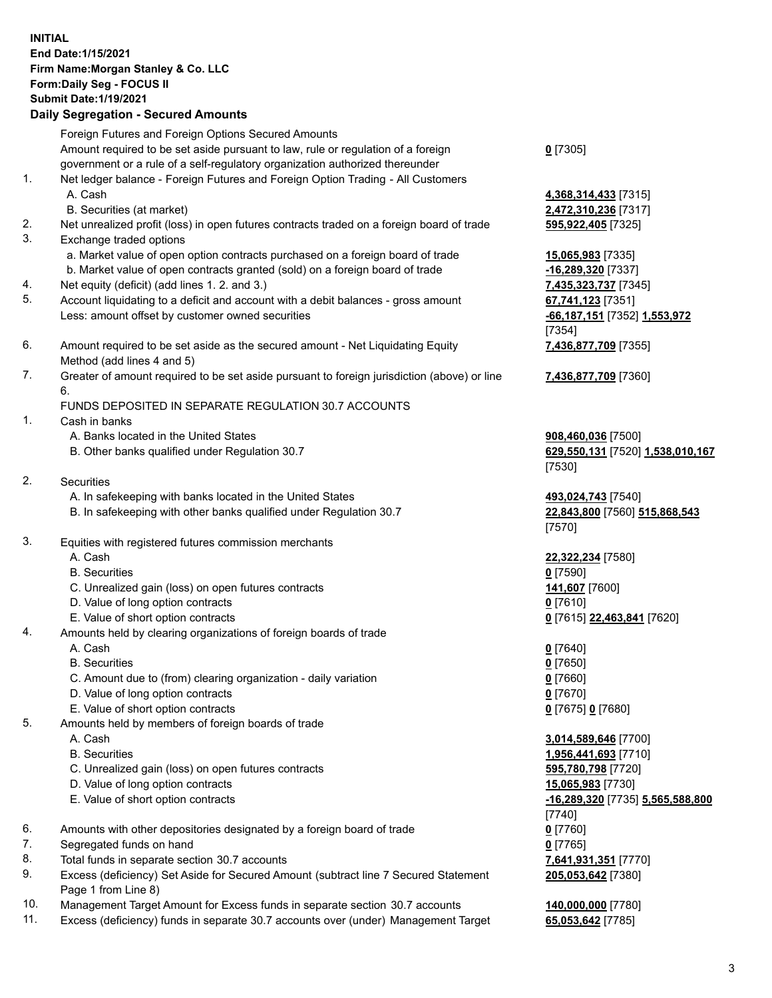## **INITIAL End Date:1/15/2021 Firm Name:Morgan Stanley & Co. LLC Form:Daily Seg - FOCUS II Submit Date:1/19/2021**

**Daily Segregation - Secured Amounts** Foreign Futures and Foreign Options Secured Amounts Amount required to be set aside pursuant to law, rule or regulation of a foreign government or a rule of a self-regulatory organization authorized thereunder 1. Net ledger balance - Foreign Futures and Foreign Option Trading - All Customers A. Cash **4,368,314,433** [7315] B. Securities (at market) **2,472,310,236** [7317] 2. Net unrealized profit (loss) in open futures contracts traded on a foreign board of trade **595,922,405** [7325] 3. Exchange traded options a. Market value of open option contracts purchased on a foreign board of trade **15,065,983** [7335] b. Market value of open contracts granted (sold) on a foreign board of trade **-16,289,320** [7337] 4. Net equity (deficit) (add lines 1. 2. and 3.) **7,435,323,737** [7345] 5. Account liquidating to a deficit and account with a debit balances - gross amount **67,741,123** [7351] Less: amount offset by customer owned securities **-66,187,151** [7352] **1,553,972** 6. Amount required to be set aside as the secured amount - Net Liquidating Equity Method (add lines 4 and 5) 7. Greater of amount required to be set aside pursuant to foreign jurisdiction (above) or line 6. FUNDS DEPOSITED IN SEPARATE REGULATION 30.7 ACCOUNTS 1. Cash in banks A. Banks located in the United States **908,460,036** [7500] B. Other banks qualified under Regulation 30.7 **629,550,131** [7520] **1,538,010,167** 2. Securities A. In safekeeping with banks located in the United States **493,024,743** [7540] B. In safekeeping with other banks qualified under Regulation 30.7 **22,843,800** [7560] **515,868,543** 3. Equities with registered futures commission merchants A. Cash **22,322,234** [7580] B. Securities **0** [7590] C. Unrealized gain (loss) on open futures contracts **141,607** [7600] D. Value of long option contracts **0** [7610] E. Value of short option contracts **0** [7615] **22,463,841** [7620] 4. Amounts held by clearing organizations of foreign boards of trade A. Cash **0** [7640] B. Securities **0** [7650] C. Amount due to (from) clearing organization - daily variation **0** [7660] D. Value of long option contracts **0** [7670]

- E. Value of short option contracts **0** [7675] **0** [7680]
- 5. Amounts held by members of foreign boards of trade
	-
	-
	- C. Unrealized gain (loss) on open futures contracts **595,780,798** [7720]
	- D. Value of long option contracts **15,065,983** [7730]
	- E. Value of short option contracts **-16,289,320** [7735] **5,565,588,800**
- 6. Amounts with other depositories designated by a foreign board of trade **0** [7760]
- 7. Segregated funds on hand **0** [7765]
- 8. Total funds in separate section 30.7 accounts **7,641,931,351** [7770]
- 9. Excess (deficiency) Set Aside for Secured Amount (subtract line 7 Secured Statement Page 1 from Line 8)
- 10. Management Target Amount for Excess funds in separate section 30.7 accounts **140,000,000** [7780]
- 11. Excess (deficiency) funds in separate 30.7 accounts over (under) Management Target **65,053,642** [7785]

**0** [7305]

[7354] **7,436,877,709** [7355]

**7,436,877,709** [7360]

[7530]

[7570]

 A. Cash **3,014,589,646** [7700] B. Securities **1,956,441,693** [7710] [7740] **205,053,642** [7380]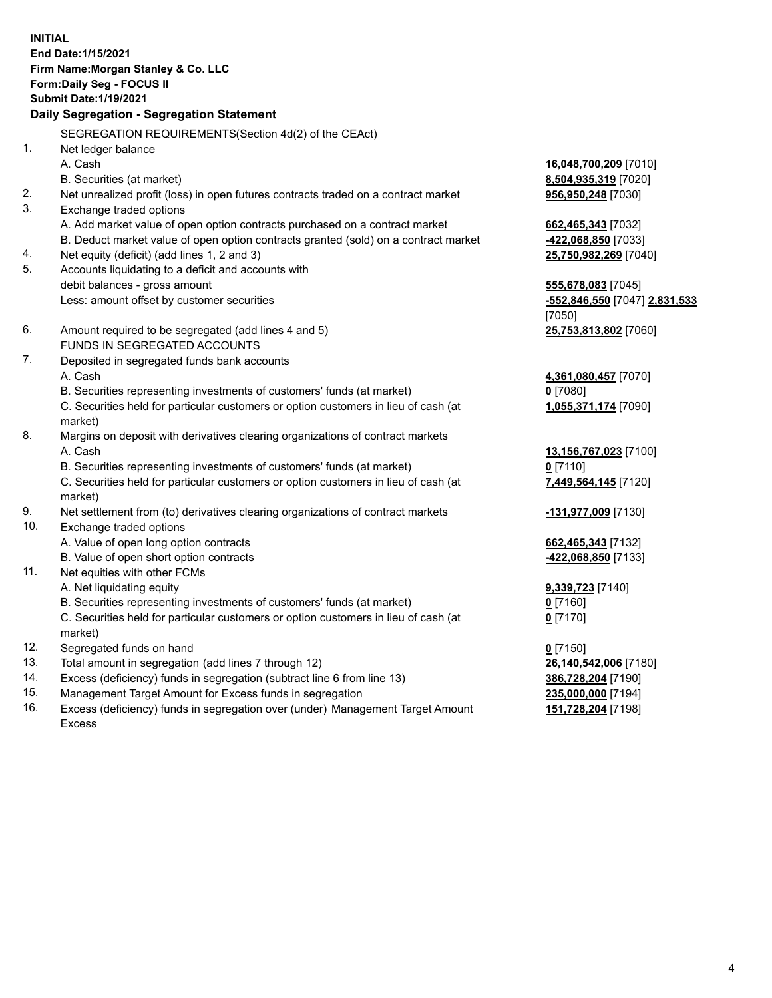**INITIAL End Date:1/15/2021 Firm Name:Morgan Stanley & Co. LLC Form:Daily Seg - FOCUS II Submit Date:1/19/2021 Daily Segregation - Segregation Statement** SEGREGATION REQUIREMENTS(Section 4d(2) of the CEAct) 1. Net ledger balance A. Cash **16,048,700,209** [7010] B. Securities (at market) **8,504,935,319** [7020] 2. Net unrealized profit (loss) in open futures contracts traded on a contract market **956,950,248** [7030] 3. Exchange traded options A. Add market value of open option contracts purchased on a contract market **662,465,343** [7032] B. Deduct market value of open option contracts granted (sold) on a contract market **-422,068,850** [7033] 4. Net equity (deficit) (add lines 1, 2 and 3) **25,750,982,269** [7040] 5. Accounts liquidating to a deficit and accounts with debit balances - gross amount **555,678,083** [7045] Less: amount offset by customer securities **-552,846,550** [7047] **2,831,533** [7050] 6. Amount required to be segregated (add lines 4 and 5) **25,753,813,802** [7060] FUNDS IN SEGREGATED ACCOUNTS 7. Deposited in segregated funds bank accounts A. Cash **4,361,080,457** [7070] B. Securities representing investments of customers' funds (at market) **0** [7080] C. Securities held for particular customers or option customers in lieu of cash (at market) **1,055,371,174** [7090] 8. Margins on deposit with derivatives clearing organizations of contract markets A. Cash **13,156,767,023** [7100] B. Securities representing investments of customers' funds (at market) **0** [7110] C. Securities held for particular customers or option customers in lieu of cash (at market) **7,449,564,145** [7120] 9. Net settlement from (to) derivatives clearing organizations of contract markets **-131,977,009** [7130] 10. Exchange traded options A. Value of open long option contracts **662,465,343** [7132] B. Value of open short option contracts **-422,068,850** [7133] 11. Net equities with other FCMs A. Net liquidating equity **9,339,723** [7140] B. Securities representing investments of customers' funds (at market) **0** [7160] C. Securities held for particular customers or option customers in lieu of cash (at market) **0** [7170] 12. Segregated funds on hand **0** [7150] 13. Total amount in segregation (add lines 7 through 12) **26,140,542,006** [7180] 14. Excess (deficiency) funds in segregation (subtract line 6 from line 13) **386,728,204** [7190] 15. Management Target Amount for Excess funds in segregation **235,000,000** [7194]

16. Excess (deficiency) funds in segregation over (under) Management Target Amount Excess

**151,728,204** [7198]